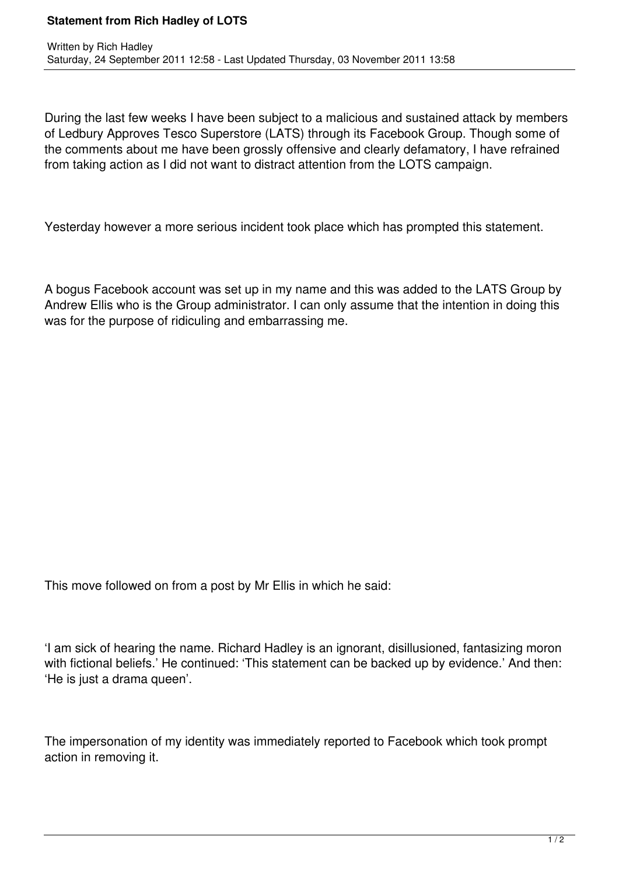## **Statement from Rich Hadley of LOTS**

During the last few weeks I have been subject to a malicious and sustained attack by members of Ledbury Approves Tesco Superstore (LATS) through its Facebook Group. Though some of the comments about me have been grossly offensive and clearly defamatory, I have refrained from taking action as I did not want to distract attention from the LOTS campaign.

Yesterday however a more serious incident took place which has prompted this statement.

A bogus Facebook account was set up in my name and this was added to the LATS Group by Andrew Ellis who is the Group administrator. I can only assume that the intention in doing this was for the purpose of ridiculing and embarrassing me.

This move followed on from a post by Mr Ellis in which he said:

'I am sick of hearing the name. Richard Hadley is an ignorant, disillusioned, fantasizing moron with fictional beliefs.' He continued: 'This statement can be backed up by evidence.' And then: 'He is just a drama queen'.

The impersonation of my identity was immediately reported to Facebook which took prompt action in removing it.